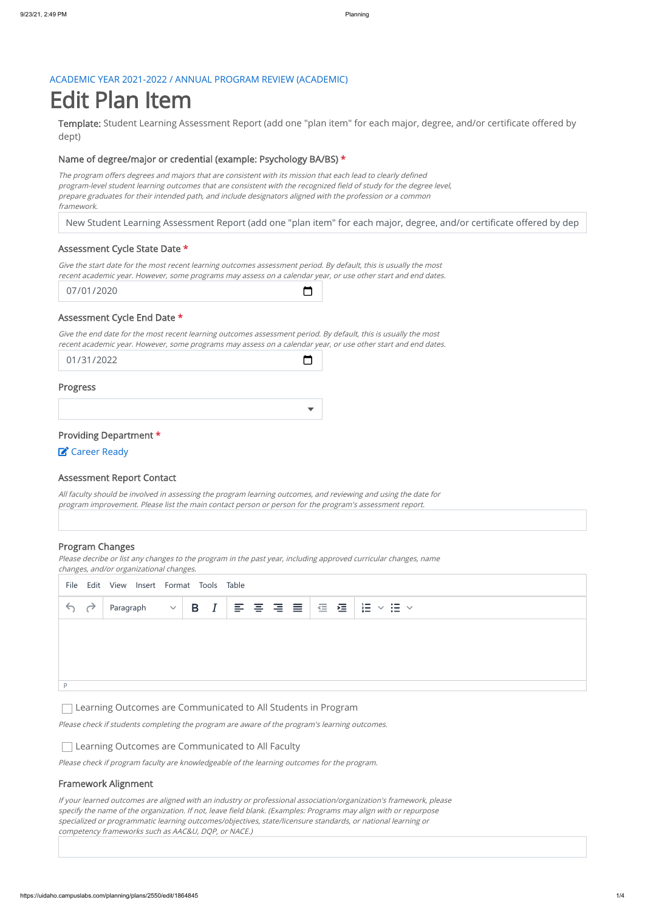#### ACADEMIC YEAR 2021-2022 / ANNUAL PROGRAM REVIEW (ACADEMIC)

Template: Student Learning Assessment Report (add one "plan item" for each major, degree, and/or certificate offered by dept)

# Edit Plan Item

#### Name of degree/major or credential (example: Psychology BA/BS) \*

New Student Learning Assessment Report (add one "plan item" for each major, degree, and/or certificate offered by dep

 $\Box$ 

◘

The program offers degrees and majors that are consistent with its mission that each lead to clearly defined program-level student learning outcomes that are consistent with the recognized field of study for the degree level, prepare graduates for their intended path, and include designators aligned with the profession or <sup>a</sup> common framework.

#### Assessment Cycle State Date \*

Give the start date for the most recent learning outcomes assessment period. By default, this is usually the most recent academic year. However, some programs may assess on <sup>a</sup> calendar year, or use other start and end dates.

07/01/2020

#### Assessment Cycle End Date \*

Give the end date for the most recent learning outcomes assessment period. By default, this is usually the most recent academic year. However, some programs may assess on <sup>a</sup> calendar year, or use other start and end dates.

01/31/2022

Progress

Providing Department \*

**Z** Career Ready

#### Assessment Report Contact

All faculty should be involved in assessing the program learning outcomes, and reviewing and using the date for program improvement. Please list the main contact person or person for the program's assessment report.

#### Program Changes

Please decribe or list any changes to the program in the past year, including approved curricular changes, name changes, and/or organizational changes.

P

Please check if students completing the program are aware of the program's learning outcomes.

# Learning Outcomes are Communicated to All Students in Program

Please check if program faculty are knowledgeable of the learning outcomes for the program.

# Learning Outcomes are Communicated to All Faculty

# Framework Alignment

If your learned outcomes are aligned with an industry or professional association/organization's framework, please specify the name of the organization. If not, leave field blank. (Examples: Programs may align with or repurpose specialized or programmatic learning outcomes/objectives, state/licensure standards, or national learning or competency frameworks such as AAC&U, DQP, or NACE.)

|                 | File Edit View Insert Format Tools Table |  |  |  |  |  |  |  |  |  |  |                                                                    |  |  |
|-----------------|------------------------------------------|--|--|--|--|--|--|--|--|--|--|--------------------------------------------------------------------|--|--|
| $\rightarrow$ 4 |                                          |  |  |  |  |  |  |  |  |  |  | Paragraph $\ \vee\ $ B $ I \}$ 를 틀 틀 틀   ض 물   블 $\vee$ : 블 $\vee$ |  |  |
|                 |                                          |  |  |  |  |  |  |  |  |  |  |                                                                    |  |  |
|                 |                                          |  |  |  |  |  |  |  |  |  |  |                                                                    |  |  |
|                 |                                          |  |  |  |  |  |  |  |  |  |  |                                                                    |  |  |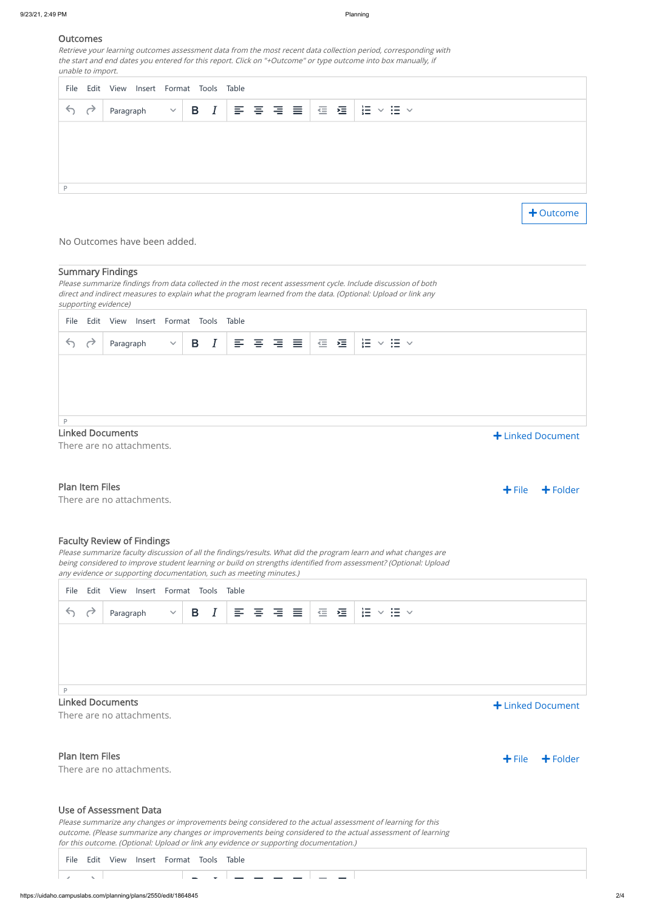### **Outcomes**

Retrieve your learning outcomes assessment data from the most recent data collection period, corresponding with the start and end dates you entered for this report. Click on "+Outcome" or type outcome into box manually, if unable to import.

#### No Outcomes have been added.

#### Summary Findings

#### Plan Item Files

There are no attachments.

+ File + Folder

Please summarize findings from data collected in the most recent assessment cycle. Include discussion of both direct and indirect measures to explain what the program learned from the data. (Optional: Upload or link any supporting evidence)

#### Faculty Review of Findings

# Linked Documents

There are no attachments.

# Plan Item Files

There are no attachments.

|    | File Edit View Insert Format Tools Table |                                |  |  |  |                                         |
|----|------------------------------------------|--------------------------------|--|--|--|-----------------------------------------|
| 50 | Paragraph                                | $ \vee $ B $ I $ 를 풀 풀 볼   줄 풀 |  |  |  | $\frac{1}{2}$<br>$\Xi$ $\sim$<br>$\vee$ |
|    |                                          |                                |  |  |  |                                         |
|    |                                          |                                |  |  |  |                                         |
|    |                                          |                                |  |  |  |                                         |
| D  |                                          |                                |  |  |  |                                         |

+ Outcome

| File         | Edit View Insert Format Tools Table |              |  |                                                                                                                                                                                                                                                                                                                                                                                                                                                                                                                                                                                                                 |  |               |                                     |  |  |                   |
|--------------|-------------------------------------|--------------|--|-----------------------------------------------------------------------------------------------------------------------------------------------------------------------------------------------------------------------------------------------------------------------------------------------------------------------------------------------------------------------------------------------------------------------------------------------------------------------------------------------------------------------------------------------------------------------------------------------------------------|--|---------------|-------------------------------------|--|--|-------------------|
| 67           | Paragraph                           | $\checkmark$ |  | $\begin{array}{ c c c c c }\n\hline\n\text{B} & I & \equiv & \equiv & \equiv & \equiv & \equiv & \equiv & \equiv & \equiv\ & \equiv & \equiv & \equiv & \equiv & \equiv\ & \equiv & \equiv & \equiv & \equiv & \equiv\ & \equiv & \equiv & \equiv & \equiv\ & \equiv & \equiv & \equiv & \equiv\ & \equiv & \equiv & \equiv & \equiv\ & \equiv & \equiv & \equiv & \equiv\ & \equiv & \equiv & \equiv\ & \equiv & \equiv & \equiv\ & \equiv & \equiv & \equiv\ & \equiv & \equiv & \equiv\ & \equiv & \equiv & \equiv\ & \equiv & \equiv & \equiv\ & \equiv & \equiv & \equiv\ & \equiv & \equiv & \equiv\ & \$ |  | $\frac{1}{2}$ | $\vee$ $\mathrel{\mathop:}=$ $\vee$ |  |  |                   |
|              |                                     |              |  |                                                                                                                                                                                                                                                                                                                                                                                                                                                                                                                                                                                                                 |  |               |                                     |  |  |                   |
|              |                                     |              |  |                                                                                                                                                                                                                                                                                                                                                                                                                                                                                                                                                                                                                 |  |               |                                     |  |  |                   |
|              |                                     |              |  |                                                                                                                                                                                                                                                                                                                                                                                                                                                                                                                                                                                                                 |  |               |                                     |  |  |                   |
| $\mathsf{P}$ |                                     |              |  |                                                                                                                                                                                                                                                                                                                                                                                                                                                                                                                                                                                                                 |  |               |                                     |  |  |                   |
|              | <b>Linked Documents</b>             |              |  |                                                                                                                                                                                                                                                                                                                                                                                                                                                                                                                                                                                                                 |  |               |                                     |  |  | + Linked Document |
|              | There are no attachments.           |              |  |                                                                                                                                                                                                                                                                                                                                                                                                                                                                                                                                                                                                                 |  |               |                                     |  |  |                   |

Please summarize faculty discussion of all the findings/results. What did the program learn and what changes are being considered to improve student learning or build on strengths identified from assessment? (Optional: Upload any evidence or supporting documentation, such as meeting minutes.)

# Linked Document



# Use of Assessment Data

Please summarize any changes or improvements being considered to the actual assessment of learning for this outcome. (Please summarize any changes or improvements being considered to the actual assessment of learning for this outcome. (Optional: Upload or link any evidence or supporting documentation.)

|    | File Edit View Insert Format Tools Table                                           |  |  |  |  |                                |
|----|------------------------------------------------------------------------------------|--|--|--|--|--------------------------------|
| 66 | Paragraph $\vee$   B $I$   $\equiv$ $\equiv$ $\equiv$ $\equiv$   $\equiv$ $\equiv$ |  |  |  |  | $\mathbf{E} \times \mathbf{E}$ |
|    |                                                                                    |  |  |  |  |                                |
|    |                                                                                    |  |  |  |  |                                |
|    |                                                                                    |  |  |  |  |                                |

|  |  | File Edit View Insert Format Tools Table                                                                        |               |  |               |  |  |  |  |  |
|--|--|-----------------------------------------------------------------------------------------------------------------|---------------|--|---------------|--|--|--|--|--|
|  |  | and the state of the state of the state of the state of the state of the state of the state of the state of the | . _ _ _ _ _ _ |  | $\sim$ $\sim$ |  |  |  |  |  |